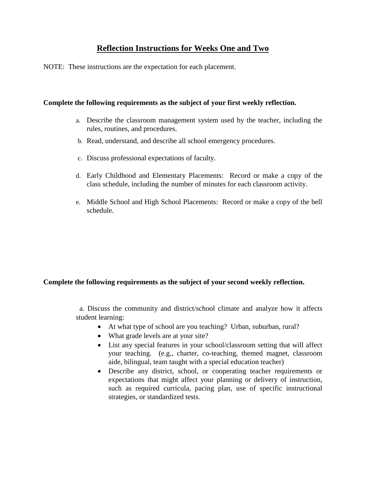## **Reflection Instructions for Weeks One and Two**

NOTE: These instructions are the expectation for each placement.

## **Complete the following requirements as the subject of your first weekly reflection.**

- a. Describe the classroom management system used by the teacher, including the rules, routines, and procedures.
- b. Read, understand, and describe all school emergency procedures.
- c. Discuss professional expectations of faculty.
- d. Early Childhood and Elementary Placements: Record or make a copy of the class schedule, including the number of minutes for each classroom activity.
- e. Middle School and High School Placements: Record or make a copy of the bell schedule.

## **Complete the following requirements as the subject of your second weekly reflection.**

 a. Discuss the community and district/school climate and analyze how it affects student learning:

- At what type of school are you teaching? Urban, suburban, rural?
- What grade levels are at your site?
- List any special features in your school/classroom setting that will affect your teaching. (e.g., charter, co-teaching, themed magnet, classroom aide, bilingual, team taught with a special education teacher)
- Describe any district, school, or cooperating teacher requirements or expectations that might affect your planning or delivery of instruction, such as required curricula, pacing plan, use of specific instructional strategies, or standardized tests.